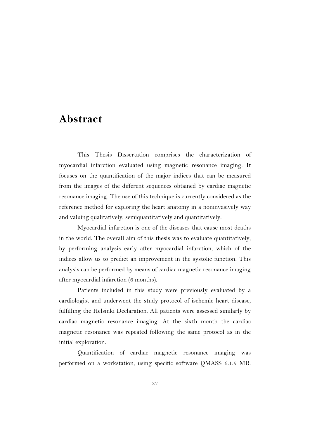## **Abstract**

This Thesis Dissertation comprises the characterization of myocardial infarction evaluated using magnetic resonance imaging. It focuses on the quantification of the major indices that can be measured from the images of the different sequences obtained by cardiac magnetic resonance imaging. The use of this technique is currently considered as the reference method for exploring the heart anatomy in a noninvasively way and valuing qualitatively, semiquantitatively and quantitatively.

Myocardial infarction is one of the diseases that cause most deaths in the world. The overall aim of this thesis was to evaluate quantitatively, by performing analysis early after myocardial infarction, which of the indices allow us to predict an improvement in the systolic function. This analysis can be performed by means of cardiac magnetic resonance imaging after myocardial infarction (6 months).

Patients included in this study were previously evaluated by a cardiologist and underwent the study protocol of ischemic heart disease, fulfilling the Helsinki Declaration. All patients were assessed similarly by cardiac magnetic resonance imaging. At the sixth month the cardiac magnetic resonance was repeated following the same protocol as in the initial exploration.

Quantification of cardiac magnetic resonance imaging was performed on a workstation, using specific software QMASS 6.1.5 MR.